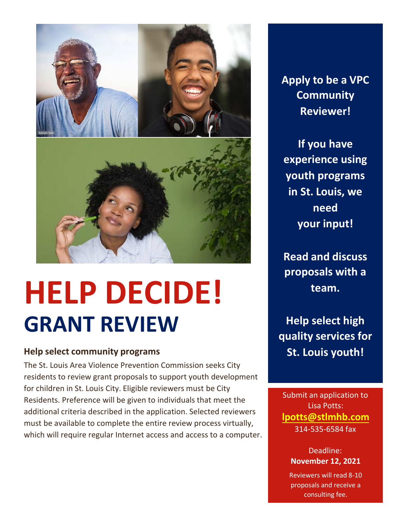

# **HELP DECIDE! GRANT REVIEW**

### **Help select community programs**

The St. Louis Area Violence Prevention Commission seeks City residents to review grant proposals to support youth development for children in St. Louis City. Eligible reviewers must be City Residents. Preference will be given to individuals that meet the additional criteria described in the application. Selected reviewers must be available to complete the entire review process virtually, which will require regular Internet access and access to a computer. **Apply to be a VPC Community Reviewer!**

**If you have experience using youth programs in St. Louis, we need your input!**

**Read and discuss proposals with a team.**

**Help select high quality services for St. Louis youth!**

Submit an application to Lisa Potts: **l[potts@stlmhb.com](mailto:lpotts@stlmhb.com)** 314-535-6584 fax

> Deadline: **November 12, 2021**

Reviewers will read 8-10 proposals and receive a consulting fee.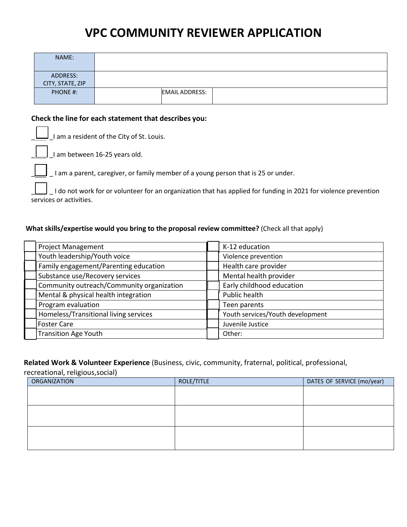## **VPC COMMUNITY REVIEWER APPLICATION**

| NAME:                        |                       |
|------------------------------|-----------------------|
| ADDRESS:<br>CITY, STATE, ZIP |                       |
| PHONE #:                     | <b>EMAIL ADDRESS:</b> |

#### **Check the line for each statement that describes you:**

\_\_\_  $\Box$  I am a resident of the City of St. Louis.

 $\Box$  $\vert$  I am between 16-25 years old.

 $\mathcal{L}$ 

 $\vert$  \_I am a parent, caregiver, or family member of a young person that is 25 or under.

 $\mathcal{L}$ \_ \_ I do not work for or volunteer for an organization that has applied for funding in 2021 for violence prevention services or activities.

#### **What skills/expertise would you bring to the proposal review committee?** (Check all that apply)

| <b>Project Management</b>                 | K-12 education                   |
|-------------------------------------------|----------------------------------|
| Youth leadership/Youth voice              | Violence prevention              |
| Family engagement/Parenting education     | Health care provider             |
| Substance use/Recovery services           | Mental health provider           |
| Community outreach/Community organization | Early childhood education        |
| Mental & physical health integration      | Public health                    |
| Program evaluation                        | Teen parents                     |
| Homeless/Transitional living services     | Youth services/Youth development |
| <b>Foster Care</b>                        | Juvenile Justice                 |
| <b>Transition Age Youth</b>               | Other:                           |
|                                           |                                  |

#### **Related Work & Volunteer Experience** (Business, civic, community, fraternal, political, professional,

recreational, religious,social)

| <b>ORGANIZATION</b> | ROLE/TITLE | DATES OF SERVICE (mo/year) |
|---------------------|------------|----------------------------|
|                     |            |                            |
|                     |            |                            |
|                     |            |                            |
|                     |            |                            |
|                     |            |                            |
|                     |            |                            |
|                     |            |                            |